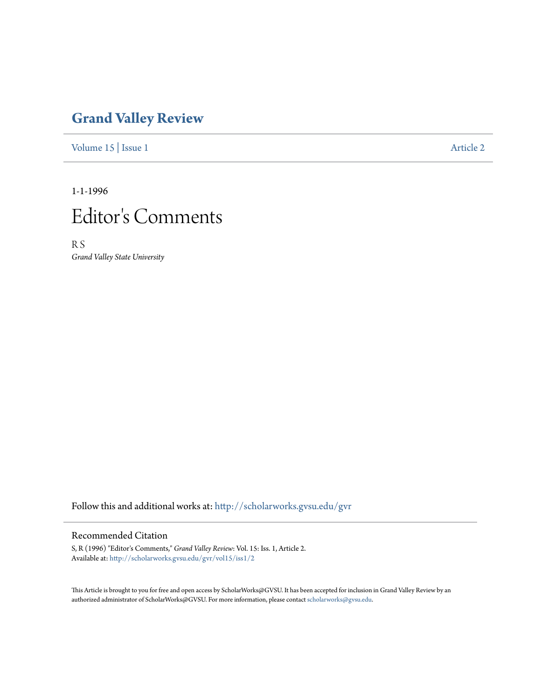## **[Grand Valley Review](http://scholarworks.gvsu.edu/gvr?utm_source=scholarworks.gvsu.edu%2Fgvr%2Fvol15%2Fiss1%2F2&utm_medium=PDF&utm_campaign=PDFCoverPages)**

[Volume 15](http://scholarworks.gvsu.edu/gvr/vol15?utm_source=scholarworks.gvsu.edu%2Fgvr%2Fvol15%2Fiss1%2F2&utm_medium=PDF&utm_campaign=PDFCoverPages) | [Issue 1](http://scholarworks.gvsu.edu/gvr/vol15/iss1?utm_source=scholarworks.gvsu.edu%2Fgvr%2Fvol15%2Fiss1%2F2&utm_medium=PDF&utm_campaign=PDFCoverPages) [Article 2](http://scholarworks.gvsu.edu/gvr/vol15/iss1/2?utm_source=scholarworks.gvsu.edu%2Fgvr%2Fvol15%2Fiss1%2F2&utm_medium=PDF&utm_campaign=PDFCoverPages)

1-1-1996



R S *Grand Valley State University*

Follow this and additional works at: [http://scholarworks.gvsu.edu/gvr](http://scholarworks.gvsu.edu/gvr?utm_source=scholarworks.gvsu.edu%2Fgvr%2Fvol15%2Fiss1%2F2&utm_medium=PDF&utm_campaign=PDFCoverPages)

## Recommended Citation

S, R (1996) "Editor's Comments," *Grand Valley Review*: Vol. 15: Iss. 1, Article 2. Available at: [http://scholarworks.gvsu.edu/gvr/vol15/iss1/2](http://scholarworks.gvsu.edu/gvr/vol15/iss1/2?utm_source=scholarworks.gvsu.edu%2Fgvr%2Fvol15%2Fiss1%2F2&utm_medium=PDF&utm_campaign=PDFCoverPages)

This Article is brought to you for free and open access by ScholarWorks@GVSU. It has been accepted for inclusion in Grand Valley Review by an authorized administrator of ScholarWorks@GVSU. For more information, please contact [scholarworks@gvsu.edu.](mailto:scholarworks@gvsu.edu)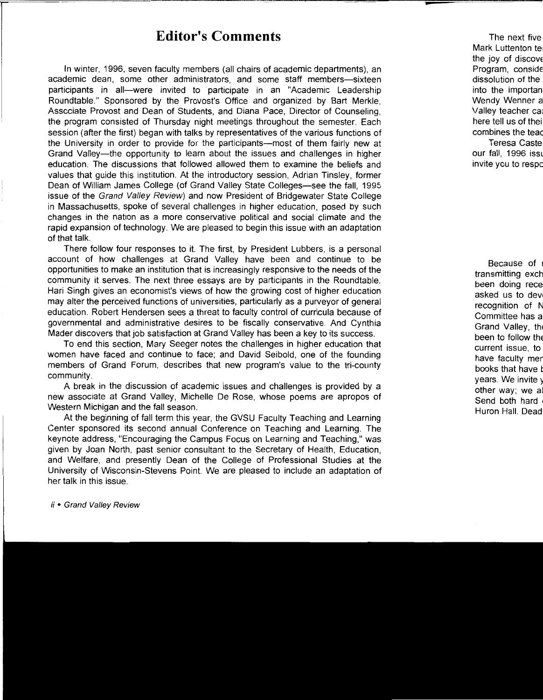## **Editor's Comments**

In winter, 1996, seven faculty members (all chairs of academic departments), an academic dean, some other administrators, and some staff members-sixteen participants in all-were invited to participate in an "Academic Leadership Roundtable." Sponsored by the Provost's Office and organized by Bart Merkle, Associate Provost and Dean of Students, and Diana Pace, Director of Counseling, the program consisted of Thursday night meetings throughout the semester. Each session (after the first) began with talks by representatives of the various functions of the University in order to provide for the participants-most of them fairly new at Grand Valley-the opportunity to learn about the issues and challenges in higher education. The discussions that followed allowed them to examine the beliefs and values that guide this institution. At the introductory session, Adrian Tinsley, former Dean of William James College (of Grand Valley State Colleges-see the fall, 1995 issue of the Grand Valley Review) and now President of Bridgewater State College in Massachusetts, spoke of several challenges in higher education, posed by such changes in the nation as a more conservative political and social climate and the rapid expansion of technology. We are pleased to begin this issue with an adaptation of that talk.

There follow four responses to it. The first, by President Lubbers, is a personal account of how challenges at Grand Valley have been and continue to be opportunities to make an institution that is increasingly responsive to the needs of the community it serves. The next three essays are by participants in the Roundtable. Hari Singh gives an economist's views of how the growing cost of higher education may alter the perceived functions of universities, particularly as a purveyor of general education. Robert Hendersen sees a threat to faculty control of curricula because of governmental and administrative desires to be fiscally conservative. And Cynthia Mader discovers that job satisfaction at Grand Valley has been a key to its success.

To end this section, Mary Seeger notes the challenges in higher education that women have faced and continue to face; and David Seibold, one of the founding members of Grand Forum, describes that new program's value to the tri-county community.

A break in the discussion of academic issues and challenges is provided by a new associate at Grand Valley, Michelle De Rose, whose poems are apropos of Western Michigan and the fall season.

At the beginning of fall term this year, the GVSU Faculty Teaching and Learning Center sponsored its second annual Conference on Teaching and Learning. The keynote address, "Encouraging the Campus Focus on Learning and Teaching," was given by Joan North, past senior consultant to the Secretary of Health, Education, and Welfare, and presently Dean of the College of Professional Studies at the University of Wisconsin-Stevens Point. We are pleased to include an adaptation of her talk in this issue.